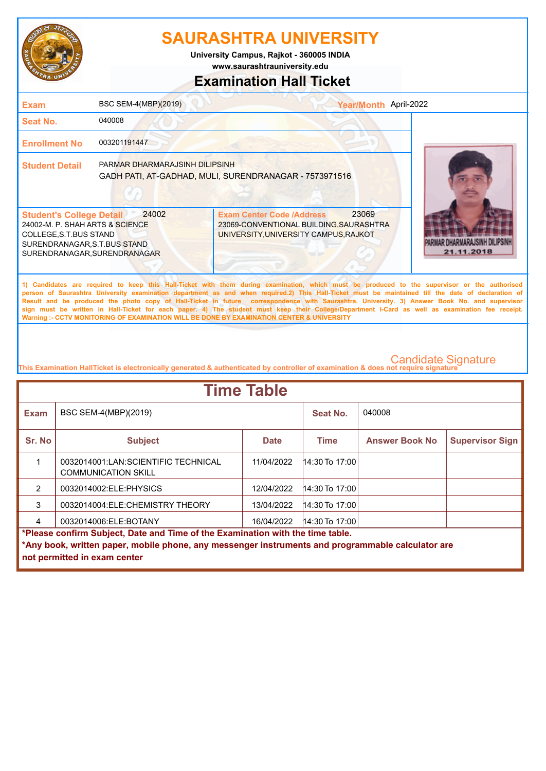

**www.saurashtrauniversity.edu University Campus, Rajkot - 360005 INDIA**

### **Examination Hall Ticket**

| <b>Exam</b>                                                                                                                                                  | BSC SEM-4(MBP)(2019)           | Year/Month April-2022                                                                                                                                                                                                                                                                                                                                                                                                                                                                                                                                                                                                                                                                               |                                    |
|--------------------------------------------------------------------------------------------------------------------------------------------------------------|--------------------------------|-----------------------------------------------------------------------------------------------------------------------------------------------------------------------------------------------------------------------------------------------------------------------------------------------------------------------------------------------------------------------------------------------------------------------------------------------------------------------------------------------------------------------------------------------------------------------------------------------------------------------------------------------------------------------------------------------------|------------------------------------|
| Seat No.                                                                                                                                                     | 040008                         |                                                                                                                                                                                                                                                                                                                                                                                                                                                                                                                                                                                                                                                                                                     |                                    |
| <b>Enrollment No</b>                                                                                                                                         | 003201191447                   |                                                                                                                                                                                                                                                                                                                                                                                                                                                                                                                                                                                                                                                                                                     |                                    |
| <b>Student Detail</b>                                                                                                                                        | PARMAR DHARMARAJSINH DILIPSINH | GADH PATI, AT-GADHAD, MULI, SURENDRANAGAR - 7573971516                                                                                                                                                                                                                                                                                                                                                                                                                                                                                                                                                                                                                                              |                                    |
| <b>Student's College Detail</b><br>24002-M. P. SHAH ARTS & SCIENCE<br>COLLEGE, S.T.BUS STAND<br>SURENDRANAGAR, S.T.BUS STAND<br>SURENDRANAGAR, SURENDRANAGAR | 24002                          | 23069<br><b>Exam Center Code /Address</b><br>23069-CONVENTIONAL BUILDING, SAURASHTRA<br>UNIVERSITY, UNIVERSITY CAMPUS, RAJKOT                                                                                                                                                                                                                                                                                                                                                                                                                                                                                                                                                                       | IAR DHARMARA ISINH D<br>21.11.2018 |
|                                                                                                                                                              |                                | 1) Candidates are required to keep this Hall-Ticket with them during examination, which must be produced to the supervisor or the authorised<br>person of Saurashtra University examination department as and when required.2) This Hall-Ticket must be maintained till the date of declaration of<br>Result and be produced the photo copy of Hall-Ticket in future correspondence with Saurashtra. University. 3) Answer Book No. and supervisor<br>sign must be written in Hall-Ticket for each paper. 4) The student must keep their College/Department I-Card as well as examination fee receipt.<br>Warning :- CCTV MONITORING OF EXAMINATION WILL BE DONE BY EXAMINATION CENTER & UNIVERSITY |                                    |

| <b>Time Table</b>                                                                                                                                                                                                   |                                                                   |             |                  |                       |                        |  |
|---------------------------------------------------------------------------------------------------------------------------------------------------------------------------------------------------------------------|-------------------------------------------------------------------|-------------|------------------|-----------------------|------------------------|--|
| <b>Exam</b>                                                                                                                                                                                                         | BSC SEM-4(MBP)(2019)                                              |             | Seat No.         | 040008                |                        |  |
| Sr. No                                                                                                                                                                                                              | <b>Subject</b>                                                    | <b>Date</b> | Time             | <b>Answer Book No</b> | <b>Supervisor Sign</b> |  |
|                                                                                                                                                                                                                     | 0032014001:LAN:SCIENTIFIC TECHNICAL<br><b>COMMUNICATION SKILL</b> | 11/04/2022  | 14:30 To 17:00   |                       |                        |  |
| $\mathcal{P}$                                                                                                                                                                                                       | 0032014002:ELE:PHYSICS                                            | 12/04/2022  | $14:30$ To 17:00 |                       |                        |  |
| 3                                                                                                                                                                                                                   | 0032014004:ELE:CHEMISTRY THEORY                                   | 13/04/2022  | $14:30$ To 17:00 |                       |                        |  |
|                                                                                                                                                                                                                     | 0032014006:ELE:BOTANY                                             | 16/04/2022  | $14:30$ To 17:00 |                       |                        |  |
| *Please confirm Subject, Date and Time of the Examination with the time table.<br>*Any book, written paper, mobile phone, any messenger instruments and programmable calculator are<br>not permitted in exam center |                                                                   |             |                  |                       |                        |  |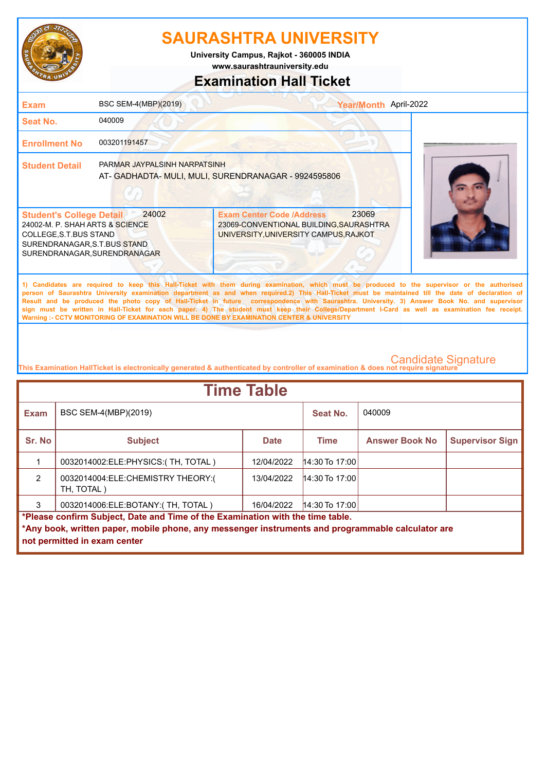

**University Campus, Rajkot - 360005 INDIA**

**www.saurashtrauniversity.edu**

### **Examination Hall Ticket**

| <b>Exam</b>                                                                                                                                                  | BSC SEM-4(MBP)(2019)         | Year/Month April-2022                                                                                                                                                                                                                                                                                                                                                                                                                                                                                                                                                                                                                                                                               |  |
|--------------------------------------------------------------------------------------------------------------------------------------------------------------|------------------------------|-----------------------------------------------------------------------------------------------------------------------------------------------------------------------------------------------------------------------------------------------------------------------------------------------------------------------------------------------------------------------------------------------------------------------------------------------------------------------------------------------------------------------------------------------------------------------------------------------------------------------------------------------------------------------------------------------------|--|
| <b>Seat No.</b>                                                                                                                                              | 040009                       |                                                                                                                                                                                                                                                                                                                                                                                                                                                                                                                                                                                                                                                                                                     |  |
| <b>Enrollment No</b>                                                                                                                                         | 003201191457                 |                                                                                                                                                                                                                                                                                                                                                                                                                                                                                                                                                                                                                                                                                                     |  |
| <b>Student Detail</b>                                                                                                                                        | PARMAR JAYPALSINH NARPATSINH | AT- GADHADTA- MULI, MULI, SURENDRANAGAR - 9924595806                                                                                                                                                                                                                                                                                                                                                                                                                                                                                                                                                                                                                                                |  |
| <b>Student's College Detail</b><br>24002-M. P. SHAH ARTS & SCIENCE<br>COLLEGE, S.T.BUS STAND<br>SURENDRANAGAR, S.T.BUS STAND<br>SURENDRANAGAR, SURENDRANAGAR | 24002                        | 23069<br><b>Exam Center Code /Address</b><br>23069-CONVENTIONAL BUILDING, SAURASHTRA<br>UNIVERSITY, UNIVERSITY CAMPUS, RAJKOT                                                                                                                                                                                                                                                                                                                                                                                                                                                                                                                                                                       |  |
|                                                                                                                                                              |                              | 1) Candidates are required to keep this Hall-Ticket with them during examination, which must be produced to the supervisor or the authorised<br>person of Saurashtra University examination department as and when required.2) This Hall-Ticket must be maintained till the date of declaration of<br>Result and be produced the photo copy of Hall-Ticket in future correspondence with Saurashtra. University. 3) Answer Book No. and supervisor<br>sign must be written in Hall-Ticket for each paper. 4) The student must keep their College/Department I-Card as well as examination fee receipt.<br>Warning :- CCTV MONITORING OF EXAMINATION WILL BE DONE BY EXAMINATION CENTER & UNIVERSITY |  |

| <b>Time Table</b>                                                              |                                                                                                                                   |             |                  |                       |                        |  |
|--------------------------------------------------------------------------------|-----------------------------------------------------------------------------------------------------------------------------------|-------------|------------------|-----------------------|------------------------|--|
| <b>Exam</b>                                                                    | BSC SEM-4(MBP)(2019)                                                                                                              |             | Seat No.         | 040009                |                        |  |
| Sr. No                                                                         | <b>Subject</b>                                                                                                                    | <b>Date</b> | <b>Time</b>      | <b>Answer Book No</b> | <b>Supervisor Sign</b> |  |
|                                                                                | 0032014002: ELE: PHYSICS: (TH, TOTAL)                                                                                             | 12/04/2022  | $14:30$ To 17:00 |                       |                        |  |
| $\mathcal{P}$                                                                  | 0032014004:ELE:CHEMISTRY THEORY:(<br>TH, TOTAL)                                                                                   | 13/04/2022  | $14:30$ To 17:00 |                       |                        |  |
| 3                                                                              | 0032014006:ELE:BOTANY:(TH, TOTAL)                                                                                                 | 16/04/2022  | $14:30$ To 17:00 |                       |                        |  |
| *Please confirm Subject, Date and Time of the Examination with the time table. |                                                                                                                                   |             |                  |                       |                        |  |
|                                                                                | *Any book, written paper, mobile phone, any messenger instruments and programmable calculator are<br>not permitted in exam center |             |                  |                       |                        |  |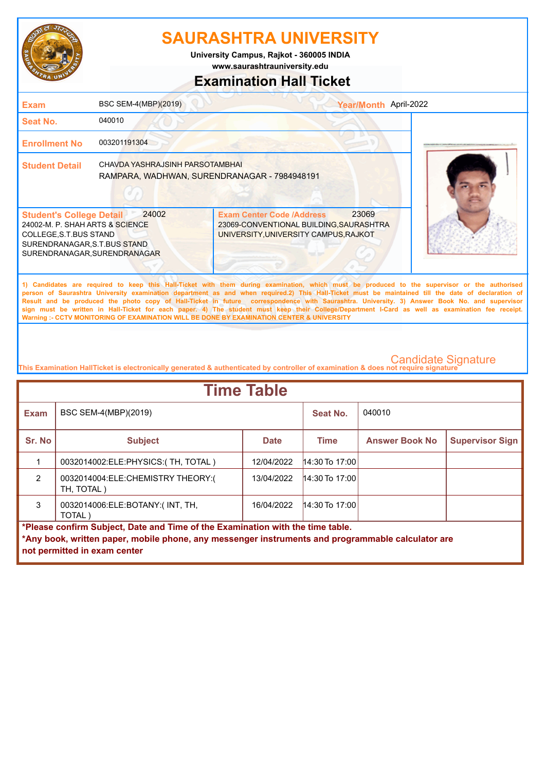

**www.saurashtrauniversity.edu University Campus, Rajkot - 360005 INDIA**

### **Examination Hall Ticket**

| <b>Exam</b>                                                                                                                                                  | BSC SEM-4(MBP)(2019)                                                            |                                                                                                                                                                                                                                                                                                                                                                                                                                                                                                                                                                                                                                                                                                     | Year/Month April-2022 |  |
|--------------------------------------------------------------------------------------------------------------------------------------------------------------|---------------------------------------------------------------------------------|-----------------------------------------------------------------------------------------------------------------------------------------------------------------------------------------------------------------------------------------------------------------------------------------------------------------------------------------------------------------------------------------------------------------------------------------------------------------------------------------------------------------------------------------------------------------------------------------------------------------------------------------------------------------------------------------------------|-----------------------|--|
| <b>Seat No.</b>                                                                                                                                              | 040010                                                                          |                                                                                                                                                                                                                                                                                                                                                                                                                                                                                                                                                                                                                                                                                                     |                       |  |
| <b>Enrollment No</b>                                                                                                                                         | 003201191304                                                                    |                                                                                                                                                                                                                                                                                                                                                                                                                                                                                                                                                                                                                                                                                                     |                       |  |
| <b>Student Detail</b>                                                                                                                                        | CHAVDA YASHRAJSINH PARSOTAMBHAI<br>RAMPARA, WADHWAN, SURENDRANAGAR - 7984948191 |                                                                                                                                                                                                                                                                                                                                                                                                                                                                                                                                                                                                                                                                                                     |                       |  |
| <b>Student's College Detail</b><br>24002-M. P. SHAH ARTS & SCIENCE<br>COLLEGE, S.T.BUS STAND<br>SURENDRANAGAR, S.T.BUS STAND<br>SURENDRANAGAR, SURENDRANAGAR | 24002                                                                           | <b>Exam Center Code /Address</b><br>23069-CONVENTIONAL BUILDING, SAURASHTRA<br>UNIVERSITY, UNIVERSITY CAMPUS, RAJKOT                                                                                                                                                                                                                                                                                                                                                                                                                                                                                                                                                                                | 23069                 |  |
|                                                                                                                                                              |                                                                                 | 1) Candidates are required to keep this Hall-Ticket with them during examination, which must be produced to the supervisor or the authorised<br>person of Saurashtra University examination department as and when required.2) This Hall-Ticket must be maintained till the date of declaration of<br>Result and be produced the photo copy of Hall-Ticket in future correspondence with Saurashtra. University. 3) Answer Book No. and supervisor<br>sign must be written in Hall-Ticket for each paper. 4) The student must keep their College/Department I-Card as well as examination fee receipt.<br>Warning :- CCTV MONITORING OF EXAMINATION WILL BE DONE BY EXAMINATION CENTER & UNIVERSITY |                       |  |

| <b>Time Table</b>                                                                                 |                                                 |             |                  |                       |                        |  |
|---------------------------------------------------------------------------------------------------|-------------------------------------------------|-------------|------------------|-----------------------|------------------------|--|
| <b>Exam</b>                                                                                       | BSC SEM-4(MBP)(2019)                            |             | Seat No.         | 040010                |                        |  |
| Sr. No                                                                                            | <b>Subject</b>                                  | <b>Date</b> | Time             | <b>Answer Book No</b> | <b>Supervisor Sign</b> |  |
|                                                                                                   | 0032014002:ELE:PHYSICS:(TH, TOTAL)              | 12/04/2022  | $14:30$ To 17:00 |                       |                        |  |
| $\mathfrak{p}$                                                                                    | 0032014004:ELE:CHEMISTRY THEORY:(<br>TH, TOTAL) | 13/04/2022  | $14:30$ To 17:00 |                       |                        |  |
| 3                                                                                                 | 0032014006:ELE:BOTANY:(INT, TH,<br>TOTAL)       | 16/04/2022  | $14:30$ To 17:00 |                       |                        |  |
| *Please confirm Subject, Date and Time of the Examination with the time table.                    |                                                 |             |                  |                       |                        |  |
| *Any book, written paper, mobile phone, any messenger instruments and programmable calculator are |                                                 |             |                  |                       |                        |  |
|                                                                                                   | not permitted in exam center                    |             |                  |                       |                        |  |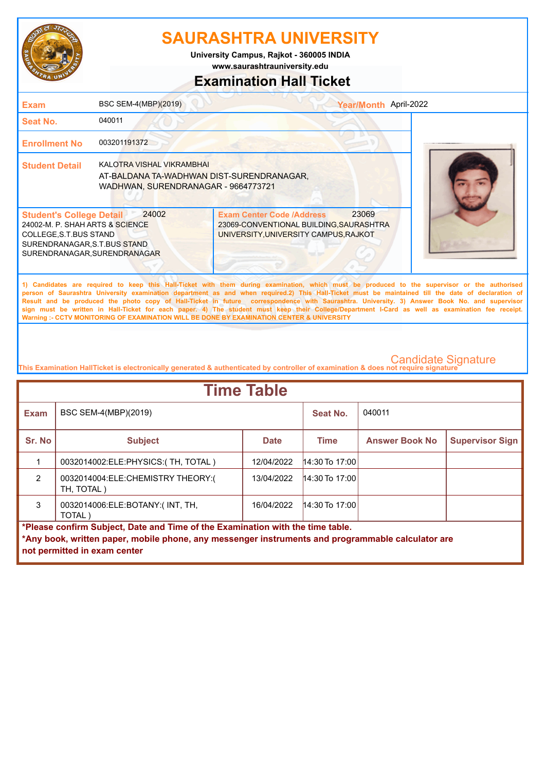

**www.saurashtrauniversity.edu University Campus, Rajkot - 360005 INDIA**

### **Examination Hall Ticket**

| <b>Exam</b>                                                                                                                                                  | BSC SEM-4(MBP)(2019)                                                                                          |                                                                                                                                                                                                                                                                                                                                                                                                                                                                                                                                                                                                                                                                                                     | Year/Month April-2022 |  |
|--------------------------------------------------------------------------------------------------------------------------------------------------------------|---------------------------------------------------------------------------------------------------------------|-----------------------------------------------------------------------------------------------------------------------------------------------------------------------------------------------------------------------------------------------------------------------------------------------------------------------------------------------------------------------------------------------------------------------------------------------------------------------------------------------------------------------------------------------------------------------------------------------------------------------------------------------------------------------------------------------------|-----------------------|--|
| <b>Seat No.</b>                                                                                                                                              | 040011                                                                                                        |                                                                                                                                                                                                                                                                                                                                                                                                                                                                                                                                                                                                                                                                                                     |                       |  |
| <b>Enrollment No</b>                                                                                                                                         | 003201191372                                                                                                  |                                                                                                                                                                                                                                                                                                                                                                                                                                                                                                                                                                                                                                                                                                     |                       |  |
| <b>Student Detail</b>                                                                                                                                        | KALOTRA VISHAL VIKRAMBHAI<br>AT-BALDANA TA-WADHWAN DIST-SURENDRANAGAR,<br>WADHWAN, SURENDRANAGAR - 9664773721 |                                                                                                                                                                                                                                                                                                                                                                                                                                                                                                                                                                                                                                                                                                     |                       |  |
| <b>Student's College Detail</b><br>24002-M. P. SHAH ARTS & SCIENCE<br>COLLEGE, S.T.BUS STAND<br>SURENDRANAGAR, S.T.BUS STAND<br>SURENDRANAGAR, SURENDRANAGAR | 24002                                                                                                         | <b>Exam Center Code /Address</b><br>23069-CONVENTIONAL BUILDING, SAURASHTRA<br>UNIVERSITY, UNIVERSITY CAMPUS, RAJKOT                                                                                                                                                                                                                                                                                                                                                                                                                                                                                                                                                                                | 23069                 |  |
|                                                                                                                                                              |                                                                                                               | 1) Candidates are required to keep this Hall-Ticket with them during examination, which must be produced to the supervisor or the authorised<br>person of Saurashtra University examination department as and when required.2) This Hall-Ticket must be maintained till the date of declaration of<br>Result and be produced the photo copy of Hall-Ticket in future correspondence with Saurashtra. University. 3) Answer Book No. and supervisor<br>sign must be written in Hall-Ticket for each paper. 4) The student must keep their College/Department I-Card as well as examination fee receipt.<br>Warning :- CCTV MONITORING OF EXAMINATION WILL BE DONE BY EXAMINATION CENTER & UNIVERSITY |                       |  |

| <b>Time Table</b>                                                                                 |                                                 |             |                  |                       |                        |  |
|---------------------------------------------------------------------------------------------------|-------------------------------------------------|-------------|------------------|-----------------------|------------------------|--|
| <b>Exam</b>                                                                                       | BSC SEM-4(MBP)(2019)                            |             | <b>Seat No.</b>  | 040011                |                        |  |
| Sr. No                                                                                            | <b>Subject</b>                                  | <b>Date</b> | <b>Time</b>      | <b>Answer Book No</b> | <b>Supervisor Sign</b> |  |
|                                                                                                   | 0032014002:ELE:PHYSICS:(TH, TOTAL)              | 12/04/2022  | $14:30$ To 17:00 |                       |                        |  |
| $\mathfrak{p}$                                                                                    | 0032014004:ELE:CHEMISTRY THEORY:(<br>TH, TOTAL) | 13/04/2022  | $14:30$ To 17:00 |                       |                        |  |
| 3                                                                                                 | 0032014006:ELE:BOTANY:(INT, TH,<br>TOTAL)       | 16/04/2022  | $14:30$ To 17:00 |                       |                        |  |
| *Please confirm Subject, Date and Time of the Examination with the time table.                    |                                                 |             |                  |                       |                        |  |
| *Any book, written paper, mobile phone, any messenger instruments and programmable calculator are |                                                 |             |                  |                       |                        |  |
|                                                                                                   | not permitted in exam center                    |             |                  |                       |                        |  |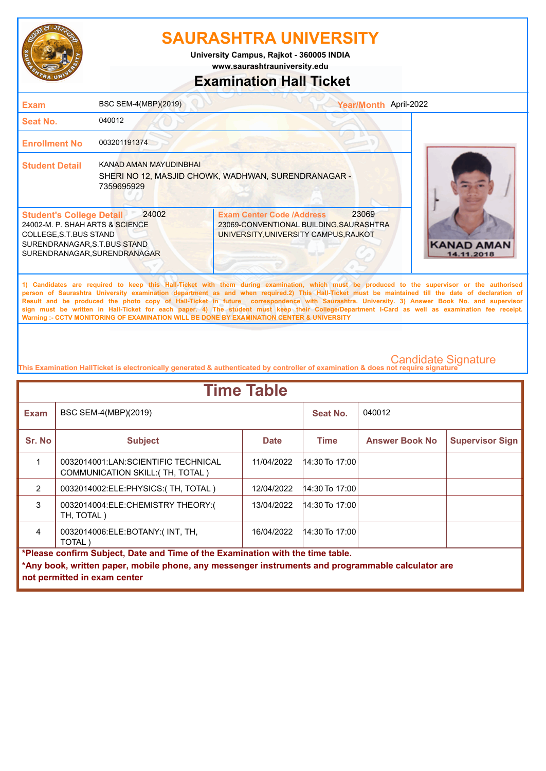

**University Campus, Rajkot - 360005 INDIA**

**www.saurashtrauniversity.edu**

### **Examination Hall Ticket**

| <b>Exam</b>                                                                                                                                                  | BSC SEM-4(MBP)(2019)                 |                                                                                                                                                                                                                                                                                                                                                                                                                                                                                                                                                                                                                                                                                                     | Year/Month April-2022 |                                 |
|--------------------------------------------------------------------------------------------------------------------------------------------------------------|--------------------------------------|-----------------------------------------------------------------------------------------------------------------------------------------------------------------------------------------------------------------------------------------------------------------------------------------------------------------------------------------------------------------------------------------------------------------------------------------------------------------------------------------------------------------------------------------------------------------------------------------------------------------------------------------------------------------------------------------------------|-----------------------|---------------------------------|
| Seat No.                                                                                                                                                     | 040012                               |                                                                                                                                                                                                                                                                                                                                                                                                                                                                                                                                                                                                                                                                                                     |                       |                                 |
| <b>Enrollment No</b>                                                                                                                                         | 003201191374                         |                                                                                                                                                                                                                                                                                                                                                                                                                                                                                                                                                                                                                                                                                                     |                       |                                 |
| <b>Student Detail</b>                                                                                                                                        | KANAD AMAN MAYUDINBHAI<br>7359695929 | SHERI NO 12, MASJID CHOWK, WADHWAN, SURENDRANAGAR -                                                                                                                                                                                                                                                                                                                                                                                                                                                                                                                                                                                                                                                 |                       |                                 |
| <b>Student's College Detail</b><br>24002-M. P. SHAH ARTS & SCIENCE<br>COLLEGE, S.T.BUS STAND<br>SURENDRANAGAR, S.T.BUS STAND<br>SURENDRANAGAR, SURENDRANAGAR | 24002                                | 23069<br><b>Exam Center Code /Address</b><br>23069-CONVENTIONAL BUILDING, SAURASHTRA<br>UNIVERSITY, UNIVERSITY CAMPUS, RAJKOT                                                                                                                                                                                                                                                                                                                                                                                                                                                                                                                                                                       |                       | <b>KANAD AMAN</b><br>14.11.2018 |
|                                                                                                                                                              |                                      | 1) Candidates are required to keep this Hall-Ticket with them during examination, which must be produced to the supervisor or the authorised<br>person of Saurashtra University examination department as and when required.2) This Hall-Ticket must be maintained till the date of declaration of<br>Result and be produced the photo copy of Hall-Ticket in future correspondence with Saurashtra. University. 3) Answer Book No. and supervisor<br>sign must be written in Hall-Ticket for each paper. 4) The student must keep their College/Department I-Card as well as examination fee receipt.<br>Warning :- CCTV MONITORING OF EXAMINATION WILL BE DONE BY EXAMINATION CENTER & UNIVERSITY |                       |                                 |

| <b>Time Table</b>                                                              |                                                                                                   |             |                  |                       |                        |  |
|--------------------------------------------------------------------------------|---------------------------------------------------------------------------------------------------|-------------|------------------|-----------------------|------------------------|--|
| <b>Exam</b>                                                                    | BSC SEM-4(MBP)(2019)                                                                              |             | Seat No.         | 040012                |                        |  |
| Sr. No                                                                         | <b>Subject</b>                                                                                    | <b>Date</b> | Time             | <b>Answer Book No</b> | <b>Supervisor Sign</b> |  |
|                                                                                | 0032014001:LAN:SCIENTIFIC TECHNICAL<br>COMMUNICATION SKILL: (TH, TOTAL)                           | 11/04/2022  | 14:30 To 17:00   |                       |                        |  |
| $\mathcal{P}$                                                                  | 0032014002:ELE:PHYSICS:(TH, TOTAL)                                                                | 12/04/2022  | $14:30$ To 17:00 |                       |                        |  |
| 3                                                                              | 0032014004:ELE:CHEMISTRY THEORY:(<br>TH. TOTAL )                                                  | 13/04/2022  | $14:30$ To 17:00 |                       |                        |  |
| $\overline{4}$                                                                 | 0032014006:ELE:BOTANY:(INT, TH,<br>TOTAL)                                                         | 16/04/2022  | $14:30$ To 17:00 |                       |                        |  |
| *Please confirm Subject, Date and Time of the Examination with the time table. |                                                                                                   |             |                  |                       |                        |  |
|                                                                                | *Any book, written paper, mobile phone, any messenger instruments and programmable calculator are |             |                  |                       |                        |  |
|                                                                                | not permitted in exam center                                                                      |             |                  |                       |                        |  |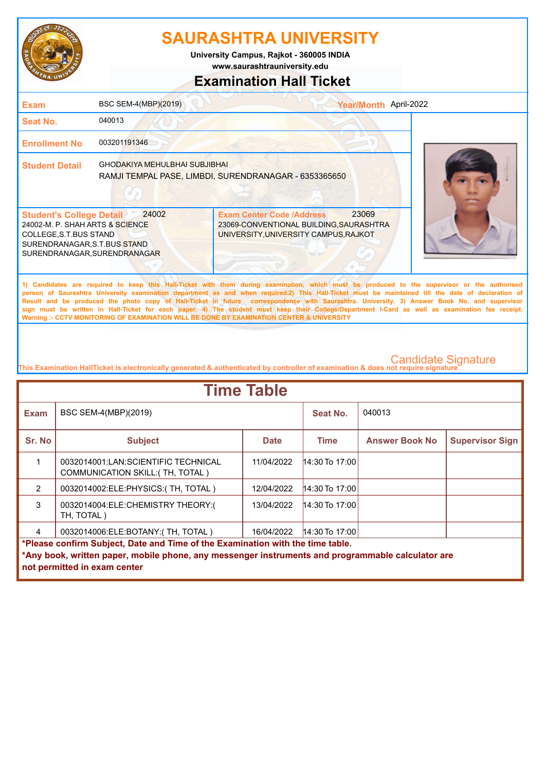

**University Campus, Rajkot - 360005 INDIA**

### **www.saurashtrauniversity.edu**

### **Examination Hall Ticket**

| <b>Exam</b>                                                                                                                                                   | BSC SEM-4(MBP)(2019)                 |                                                                                                                                                                                                                                                                                                                                                                                                                                                                                                                                                                                                                                                                                                     | Year/Month April-2022 |
|---------------------------------------------------------------------------------------------------------------------------------------------------------------|--------------------------------------|-----------------------------------------------------------------------------------------------------------------------------------------------------------------------------------------------------------------------------------------------------------------------------------------------------------------------------------------------------------------------------------------------------------------------------------------------------------------------------------------------------------------------------------------------------------------------------------------------------------------------------------------------------------------------------------------------------|-----------------------|
| <b>Seat No.</b>                                                                                                                                               | 040013                               |                                                                                                                                                                                                                                                                                                                                                                                                                                                                                                                                                                                                                                                                                                     |                       |
| <b>Enrollment No</b>                                                                                                                                          | 003201191346                         |                                                                                                                                                                                                                                                                                                                                                                                                                                                                                                                                                                                                                                                                                                     |                       |
| <b>Student Detail</b>                                                                                                                                         | <b>GHODAKIYA MEHULBHAI SUBJIBHAI</b> | RAMJI TEMPAL PASE, LIMBDI, SURENDRANAGAR - 6353365650                                                                                                                                                                                                                                                                                                                                                                                                                                                                                                                                                                                                                                               |                       |
| <b>Student's College Detail</b><br>24002-M. P. SHAH ARTS & SCIENCE<br>COLLEGE, S.T. BUS STAND<br>SURENDRANAGAR, S.T.BUS STAND<br>SURENDRANAGAR, SURENDRANAGAR | 24002                                | 23069<br><b>Exam Center Code /Address</b><br>23069-CONVENTIONAL BUILDING, SAURASHTRA<br>UNIVERSITY, UNIVERSITY CAMPUS, RAJKOT                                                                                                                                                                                                                                                                                                                                                                                                                                                                                                                                                                       |                       |
|                                                                                                                                                               |                                      | 1) Candidates are required to keep this Hall-Ticket with them during examination, which must be produced to the supervisor or the authorised<br>person of Saurashtra University examination department as and when required.2) This Hall-Ticket must be maintained till the date of declaration of<br>Result and be produced the photo copy of Hall-Ticket in future correspondence with Saurashtra. University. 3) Answer Book No. and supervisor<br>sign must be written in Hall-Ticket for each paper. 4) The student must keep their College/Department I-Card as well as examination fee receipt.<br>Warning :- CCTV MONITORING OF EXAMINATION WILL BE DONE BY EXAMINATION CENTER & UNIVERSITY |                       |

| <b>Time Table</b>                                                                                                                                                                                                   |                                                                                |             |                  |                       |                        |  |
|---------------------------------------------------------------------------------------------------------------------------------------------------------------------------------------------------------------------|--------------------------------------------------------------------------------|-------------|------------------|-----------------------|------------------------|--|
| <b>Exam</b>                                                                                                                                                                                                         | BSC SEM-4(MBP)(2019)                                                           |             | Seat No.         | 040013                |                        |  |
| Sr. No                                                                                                                                                                                                              | <b>Subject</b>                                                                 | <b>Date</b> | <b>Time</b>      | <b>Answer Book No</b> | <b>Supervisor Sign</b> |  |
|                                                                                                                                                                                                                     | 0032014001:LAN:SCIENTIFIC TECHNICAL<br><b>COMMUNICATION SKILL: (TH, TOTAL)</b> | 11/04/2022  | $14:30$ To 17:00 |                       |                        |  |
| $\mathcal{P}$                                                                                                                                                                                                       | 0032014002:ELE:PHYSICS:(TH, TOTAL)                                             | 12/04/2022  | $14:30$ To 17:00 |                       |                        |  |
| 3                                                                                                                                                                                                                   | 0032014004:ELE:CHEMISTRY THEORY:(<br>TH, TOTAL)                                | 13/04/2022  | $14:30$ To 17:00 |                       |                        |  |
| 4                                                                                                                                                                                                                   | 0032014006:ELE:BOTANY:(TH, TOTAL)                                              | 16/04/2022  | $14:30$ To 17:00 |                       |                        |  |
| *Please confirm Subject, Date and Time of the Examination with the time table.<br>*Any book, written paper, mobile phone, any messenger instruments and programmable calculator are<br>not permitted in exam center |                                                                                |             |                  |                       |                        |  |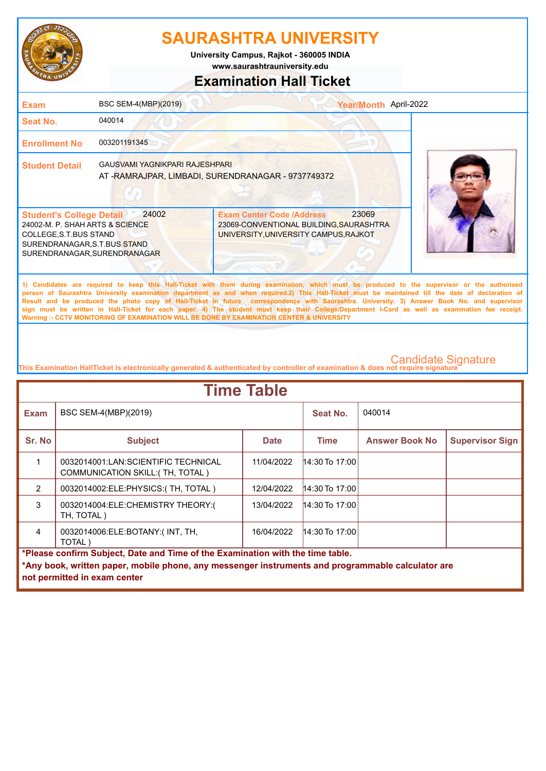

**University Campus, Rajkot - 360005 INDIA**

**www.saurashtrauniversity.edu**

### **Examination Hall Ticket**

| <b>Exam</b>                                                                                                                                                  | BSC SEM-4(MBP)(2019)           | Year/Month April-2022                                                                                                                                                                                                                                                                                                                                                                                                                                                                                                                                                                                  |  |
|--------------------------------------------------------------------------------------------------------------------------------------------------------------|--------------------------------|--------------------------------------------------------------------------------------------------------------------------------------------------------------------------------------------------------------------------------------------------------------------------------------------------------------------------------------------------------------------------------------------------------------------------------------------------------------------------------------------------------------------------------------------------------------------------------------------------------|--|
| <b>Seat No.</b>                                                                                                                                              | 040014                         |                                                                                                                                                                                                                                                                                                                                                                                                                                                                                                                                                                                                        |  |
| <b>Enrollment No</b>                                                                                                                                         | 003201191345                   |                                                                                                                                                                                                                                                                                                                                                                                                                                                                                                                                                                                                        |  |
| <b>Student Detail</b>                                                                                                                                        | GAUSVAMI YAGNIKPARI RAJESHPARI | AT-RAMRAJPAR, LIMBADI, SURENDRANAGAR - 9737749372                                                                                                                                                                                                                                                                                                                                                                                                                                                                                                                                                      |  |
| <b>Student's College Detail</b><br>24002-M. P. SHAH ARTS & SCIENCE<br>COLLEGE, S.T.BUS STAND<br>SURENDRANAGAR, S.T.BUS STAND<br>SURENDRANAGAR, SURENDRANAGAR | 24002                          | 23069<br><b>Exam Center Code /Address</b><br>23069-CONVENTIONAL BUILDING, SAURASHTRA<br>UNIVERSITY, UNIVERSITY CAMPUS, RAJKOT                                                                                                                                                                                                                                                                                                                                                                                                                                                                          |  |
|                                                                                                                                                              |                                | 1) Candidates are required to keep this Hall-Ticket with them during examination, which must be produced to the supervisor or the authorised<br>person of Saurashtra University examination department as and when required.2) This Hall-Ticket must be maintained till the date of declaration of<br>Result and be produced the photo copy of Hall-Ticket in future correspondence with Saurashtra. University. 3) Answer Book No. and supervisor<br>sign must be written in Hall-Ticket for each paper. 4) The student must keep their College/Department I-Card as well as examination fee receipt. |  |

**This Examination HallTicket is electronically generated & authenticated by controller of examination & does not require signature** 

**Warning :- CCTV MONITORING OF EXAMINATION WILL BE DONE BY EXAMINATION CENTER & UNIVERSITY**

| <b>Time Table</b>                                                              |                                                                                                   |             |                  |                       |                        |  |  |
|--------------------------------------------------------------------------------|---------------------------------------------------------------------------------------------------|-------------|------------------|-----------------------|------------------------|--|--|
| <b>Exam</b>                                                                    | BSC SEM-4(MBP)(2019)                                                                              |             | Seat No.         | 040014                |                        |  |  |
| Sr. No                                                                         | <b>Subject</b>                                                                                    | <b>Date</b> | Time             | <b>Answer Book No</b> | <b>Supervisor Sign</b> |  |  |
|                                                                                | 0032014001:LAN:SCIENTIFIC TECHNICAL<br>COMMUNICATION SKILL: (TH, TOTAL)                           | 11/04/2022  | $14:30$ To 17:00 |                       |                        |  |  |
| $\overline{2}$                                                                 | 0032014002:ELE:PHYSICS:(TH, TOTAL)                                                                | 12/04/2022  | $14:30$ To 17:00 |                       |                        |  |  |
| 3                                                                              | 0032014004:ELE:CHEMISTRY THEORY:(<br>TH, TOTAL)                                                   | 13/04/2022  | $14:30$ To 17:00 |                       |                        |  |  |
| $\overline{4}$                                                                 | 0032014006:ELE:BOTANY:(INT, TH,<br>16/04/2022<br>$14:30$ To 17:00<br>TOTAL)                       |             |                  |                       |                        |  |  |
| *Please confirm Subject, Date and Time of the Examination with the time table. |                                                                                                   |             |                  |                       |                        |  |  |
|                                                                                | *Any book, written paper, mobile phone, any messenger instruments and programmable calculator are |             |                  |                       |                        |  |  |
|                                                                                | not permitted in exam center                                                                      |             |                  |                       |                        |  |  |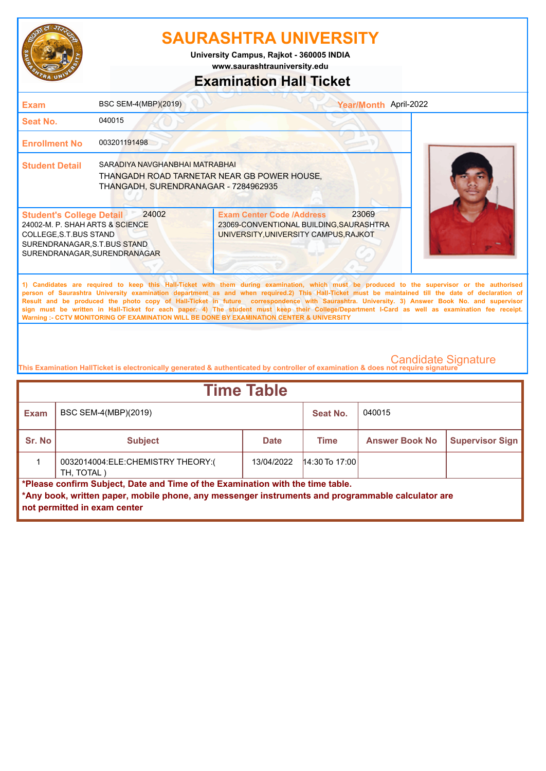

**www.saurashtrauniversity.edu University Campus, Rajkot - 360005 INDIA**

### **Examination Hall Ticket**

| <b>Exam</b>                                                                                                                                                   | BSC SEM-4(MBP)(2019)                                                                                                  |                                                                                                                                                                                                                                                                                                                                                                                                                                                                                                                                                                                                                                                                                                     | Year/Month April-2022 |
|---------------------------------------------------------------------------------------------------------------------------------------------------------------|-----------------------------------------------------------------------------------------------------------------------|-----------------------------------------------------------------------------------------------------------------------------------------------------------------------------------------------------------------------------------------------------------------------------------------------------------------------------------------------------------------------------------------------------------------------------------------------------------------------------------------------------------------------------------------------------------------------------------------------------------------------------------------------------------------------------------------------------|-----------------------|
| Seat No.                                                                                                                                                      | 040015                                                                                                                |                                                                                                                                                                                                                                                                                                                                                                                                                                                                                                                                                                                                                                                                                                     |                       |
| <b>Enrollment No</b>                                                                                                                                          | 003201191498                                                                                                          |                                                                                                                                                                                                                                                                                                                                                                                                                                                                                                                                                                                                                                                                                                     |                       |
| <b>Student Detail</b>                                                                                                                                         | SARADIYA NAVGHANBHAI MATRABHAI<br>THANGADH ROAD TARNETAR NEAR GB POWER HOUSE.<br>THANGADH, SURENDRANAGAR - 7284962935 |                                                                                                                                                                                                                                                                                                                                                                                                                                                                                                                                                                                                                                                                                                     |                       |
| <b>Student's College Detail</b><br>24002-M. P. SHAH ARTS & SCIENCE<br>COLLEGE, S.T. BUS STAND<br>SURENDRANAGAR, S.T.BUS STAND<br>SURENDRANAGAR, SURENDRANAGAR | 24002                                                                                                                 | 23069<br><b>Exam Center Code /Address</b><br>23069-CONVENTIONAL BUILDING, SAURASHTRA<br>UNIVERSITY, UNIVERSITY CAMPUS, RAJKOT                                                                                                                                                                                                                                                                                                                                                                                                                                                                                                                                                                       |                       |
|                                                                                                                                                               |                                                                                                                       | 1) Candidates are required to keep this Hall-Ticket with them during examination, which must be produced to the supervisor or the authorised<br>person of Saurashtra University examination department as and when required.2) This Hall-Ticket must be maintained till the date of declaration of<br>Result and be produced the photo copy of Hall-Ticket in future correspondence with Saurashtra. University. 3) Answer Book No. and supervisor<br>sign must be written in Hall-Ticket for each paper. 4) The student must keep their College/Department I-Card as well as examination fee receipt.<br>Warning :- CCTV MONITORING OF EXAMINATION WILL BE DONE BY EXAMINATION CENTER & UNIVERSITY |                       |

| <b>Time Table</b>                                                                                                                                                                                                   |                                                                                          |            |                  |  |  |        |  |
|---------------------------------------------------------------------------------------------------------------------------------------------------------------------------------------------------------------------|------------------------------------------------------------------------------------------|------------|------------------|--|--|--------|--|
| <b>Exam</b>                                                                                                                                                                                                         | BSC SEM-4(MBP)(2019)<br>Seat No.                                                         |            |                  |  |  | 040015 |  |
| Sr. No                                                                                                                                                                                                              | <b>Supervisor Sign</b><br><b>Answer Book No</b><br><b>Subject</b><br>Time<br><b>Date</b> |            |                  |  |  |        |  |
|                                                                                                                                                                                                                     | 0032014004:ELE:CHEMISTRY THEORY:(<br>TH, TOTAL)                                          | 13/04/2022 | $14:30$ To 17:00 |  |  |        |  |
| *Please confirm Subject, Date and Time of the Examination with the time table.<br>*Any book, written paper, mobile phone, any messenger instruments and programmable calculator are<br>not permitted in exam center |                                                                                          |            |                  |  |  |        |  |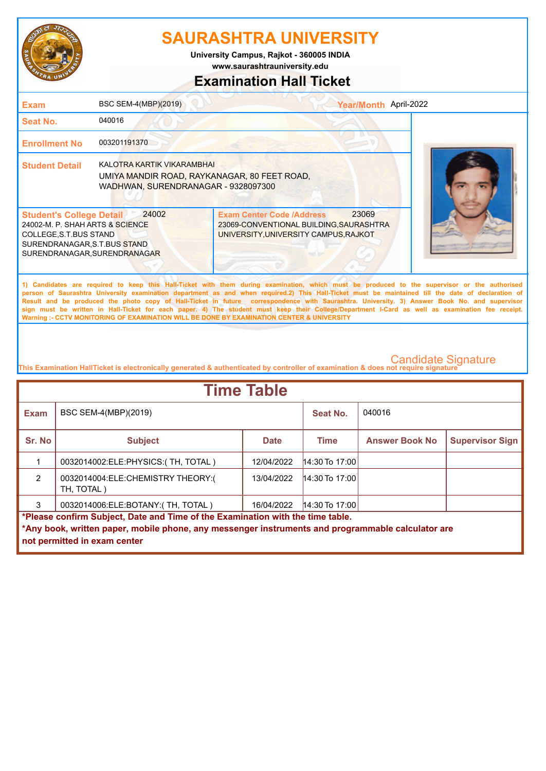

**www.saurashtrauniversity.edu University Campus, Rajkot - 360005 INDIA**

### **Examination Hall Ticket**

| <b>Exam</b>                                                                                                                                                                                                                                                                                                                                                                                                                                                                                                                                                                                                                                                                                         | BSC SEM-4(MBP)(2019)                                                                                              |                                                                                                                      | Year/Month April-2022 |  |  |
|-----------------------------------------------------------------------------------------------------------------------------------------------------------------------------------------------------------------------------------------------------------------------------------------------------------------------------------------------------------------------------------------------------------------------------------------------------------------------------------------------------------------------------------------------------------------------------------------------------------------------------------------------------------------------------------------------------|-------------------------------------------------------------------------------------------------------------------|----------------------------------------------------------------------------------------------------------------------|-----------------------|--|--|
| <b>Seat No.</b>                                                                                                                                                                                                                                                                                                                                                                                                                                                                                                                                                                                                                                                                                     | 040016                                                                                                            |                                                                                                                      |                       |  |  |
| <b>Enrollment No</b>                                                                                                                                                                                                                                                                                                                                                                                                                                                                                                                                                                                                                                                                                | 003201191370                                                                                                      |                                                                                                                      |                       |  |  |
| <b>Student Detail</b>                                                                                                                                                                                                                                                                                                                                                                                                                                                                                                                                                                                                                                                                               | KALOTRA KARTIK VIKARAMBHAI<br>UMIYA MANDIR ROAD, RAYKANAGAR, 80 FEET ROAD,<br>WADHWAN, SURENDRANAGAR - 9328097300 |                                                                                                                      |                       |  |  |
| <b>Student's College Detail</b><br>24002-M. P. SHAH ARTS & SCIENCE<br>COLLEGE, S.T.BUS STAND<br>SURENDRANAGAR, S.T.BUS STAND<br>SURENDRANAGAR, SURENDRANAGAR                                                                                                                                                                                                                                                                                                                                                                                                                                                                                                                                        | 24002                                                                                                             | <b>Exam Center Code /Address</b><br>23069-CONVENTIONAL BUILDING, SAURASHTRA<br>UNIVERSITY, UNIVERSITY CAMPUS, RAJKOT | 23069                 |  |  |
| 1) Candidates are required to keep this Hall-Ticket with them during examination, which must be produced to the supervisor or the authorised<br>person of Saurashtra University examination department as and when required.2) This Hall-Ticket must be maintained till the date of declaration of<br>Result and be produced the photo copy of Hall-Ticket in future correspondence with Saurashtra. University. 3) Answer Book No. and supervisor<br>sign must be written in Hall-Ticket for each paper. 4) The student must keep their College/Department I-Card as well as examination fee receipt.<br>Warning :- CCTV MONITORING OF EXAMINATION WILL BE DONE BY EXAMINATION CENTER & UNIVERSITY |                                                                                                                   |                                                                                                                      |                       |  |  |
|                                                                                                                                                                                                                                                                                                                                                                                                                                                                                                                                                                                                                                                                                                     |                                                                                                                   |                                                                                                                      |                       |  |  |

| <b>Time Table</b>                                                              |                                                                                                   |             |                  |                       |                        |  |
|--------------------------------------------------------------------------------|---------------------------------------------------------------------------------------------------|-------------|------------------|-----------------------|------------------------|--|
| <b>Exam</b>                                                                    | BSC SEM-4(MBP)(2019)                                                                              |             | Seat No.         | 040016                |                        |  |
| Sr. No                                                                         | <b>Subject</b>                                                                                    | <b>Date</b> | <b>Time</b>      | <b>Answer Book No</b> | <b>Supervisor Sign</b> |  |
|                                                                                | 0032014002: ELE: PHYSICS: (TH, TOTAL)                                                             | 12/04/2022  | $14:30$ To 17:00 |                       |                        |  |
| $\mathcal{P}$                                                                  | 0032014004:ELE:CHEMISTRY THEORY:(<br>TH, TOTAL)                                                   | 13/04/2022  | $14:30$ To 17:00 |                       |                        |  |
| 3                                                                              | 0032014006:ELE:BOTANY:(TH, TOTAL)                                                                 | 16/04/2022  | $14:30$ To 17:00 |                       |                        |  |
| *Please confirm Subject, Date and Time of the Examination with the time table. |                                                                                                   |             |                  |                       |                        |  |
|                                                                                | *Any book, written paper, mobile phone, any messenger instruments and programmable calculator are |             |                  |                       |                        |  |
|                                                                                | not permitted in exam center                                                                      |             |                  |                       |                        |  |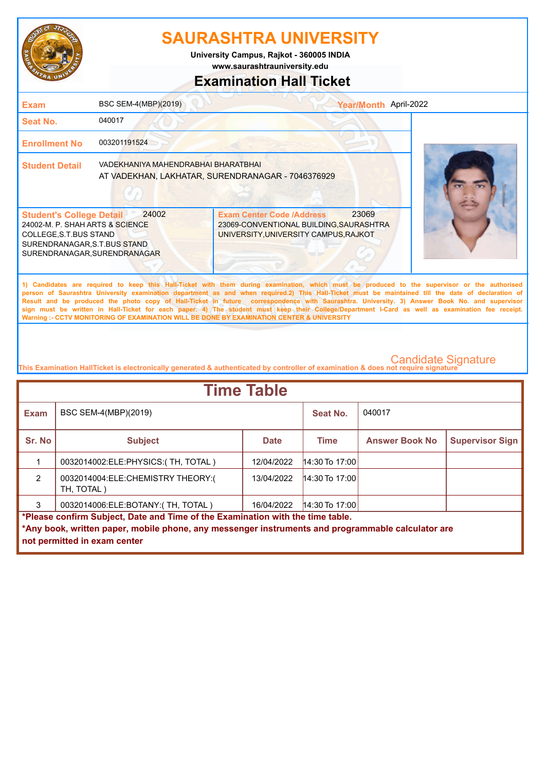

**www.saurashtrauniversity.edu University Campus, Rajkot - 360005 INDIA**

### **Examination Hall Ticket**

| <b>Exam</b>                                                                                                                                                  | BSC SEM-4(MBP)(2019)                | Year/Month April-2022                                                                                                                                                                                                                                                                                                                                                                                                                                                                                                                                                                                  |  |
|--------------------------------------------------------------------------------------------------------------------------------------------------------------|-------------------------------------|--------------------------------------------------------------------------------------------------------------------------------------------------------------------------------------------------------------------------------------------------------------------------------------------------------------------------------------------------------------------------------------------------------------------------------------------------------------------------------------------------------------------------------------------------------------------------------------------------------|--|
| Seat No.                                                                                                                                                     | 040017                              |                                                                                                                                                                                                                                                                                                                                                                                                                                                                                                                                                                                                        |  |
| <b>Enrollment No</b>                                                                                                                                         | 003201191524                        |                                                                                                                                                                                                                                                                                                                                                                                                                                                                                                                                                                                                        |  |
| <b>Student Detail</b>                                                                                                                                        | VADEKHANIYA MAHENDRABHAI BHARATBHAI | AT VADEKHAN, LAKHATAR, SURENDRANAGAR - 7046376929                                                                                                                                                                                                                                                                                                                                                                                                                                                                                                                                                      |  |
| <b>Student's College Detail</b><br>24002-M. P. SHAH ARTS & SCIENCE<br>COLLEGE, S.T.BUS STAND<br>SURENDRANAGAR, S.T.BUS STAND<br>SURENDRANAGAR, SURENDRANAGAR | 24002                               | 23069<br><b>Exam Center Code /Address</b><br>23069-CONVENTIONAL BUILDING, SAURASHTRA<br>UNIVERSITY, UNIVERSITY CAMPUS, RAJKOT                                                                                                                                                                                                                                                                                                                                                                                                                                                                          |  |
|                                                                                                                                                              |                                     | 1) Candidates are required to keep this Hall-Ticket with them during examination, which must be produced to the supervisor or the authorised<br>person of Saurashtra University examination department as and when required.2) This Hall-Ticket must be maintained till the date of declaration of<br>Result and be produced the photo copy of Hall-Ticket in future correspondence with Saurashtra. University. 3) Answer Book No. and supervisor<br>sign must be written in Hall-Ticket for each paper. 4) The student must keep their College/Department I-Card as well as examination fee receipt. |  |

**This Examination HallTicket is electronically generated & authenticated by controller of examination & does not require signature** 

**Warning :- CCTV MONITORING OF EXAMINATION WILL BE DONE BY EXAMINATION CENTER & UNIVERSITY**

| <b>Time Table</b>                                                                                 |                                                 |             |                  |                       |                        |  |
|---------------------------------------------------------------------------------------------------|-------------------------------------------------|-------------|------------------|-----------------------|------------------------|--|
| <b>Exam</b>                                                                                       | BSC SEM-4(MBP)(2019)                            |             | Seat No.         | 040017                |                        |  |
| Sr. No                                                                                            | <b>Subject</b>                                  | <b>Date</b> | <b>Time</b>      | <b>Answer Book No</b> | <b>Supervisor Sign</b> |  |
|                                                                                                   | 0032014002:ELE:PHYSICS:(TH, TOTAL)              | 12/04/2022  | $14:30$ To 17:00 |                       |                        |  |
| $\mathcal{P}$                                                                                     | 0032014004:ELE:CHEMISTRY THEORY:(<br>TH, TOTAL) | 13/04/2022  | $14:30$ To 17:00 |                       |                        |  |
| 3                                                                                                 | 0032014006:ELE:BOTANY:(TH, TOTAL)               | 16/04/2022  | $14:30$ To 17:00 |                       |                        |  |
| *Please confirm Subject, Date and Time of the Examination with the time table.                    |                                                 |             |                  |                       |                        |  |
| *Any book, written paper, mobile phone, any messenger instruments and programmable calculator are |                                                 |             |                  |                       |                        |  |
|                                                                                                   | not permitted in exam center                    |             |                  |                       |                        |  |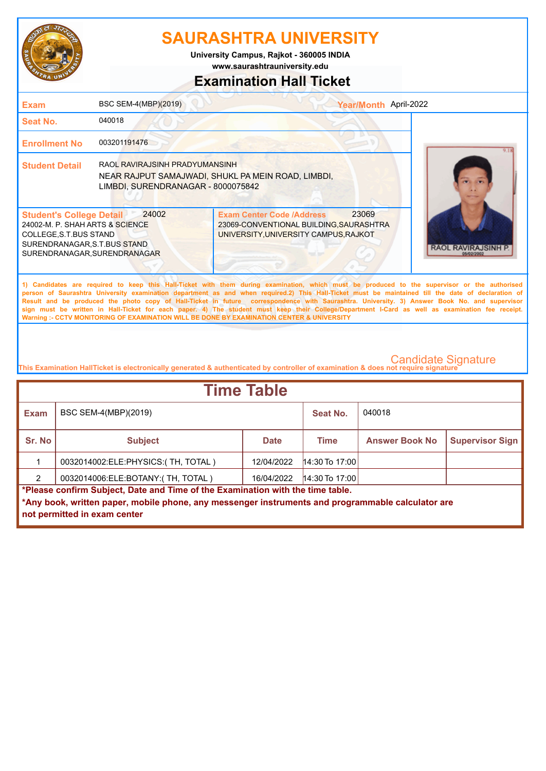

**www.saurashtrauniversity.edu University Campus, Rajkot - 360005 INDIA**

### **Examination Hall Ticket**

| <b>Exam</b>                                                                                                                                               | BSC SEM-4(MBP)(2019)                                                 |                                                                                                                                                                                                                                                                                                                                                                                                                                                                                                                                                                                                                                                                                                     | Year/Month April-2022                |
|-----------------------------------------------------------------------------------------------------------------------------------------------------------|----------------------------------------------------------------------|-----------------------------------------------------------------------------------------------------------------------------------------------------------------------------------------------------------------------------------------------------------------------------------------------------------------------------------------------------------------------------------------------------------------------------------------------------------------------------------------------------------------------------------------------------------------------------------------------------------------------------------------------------------------------------------------------------|--------------------------------------|
| Seat No.                                                                                                                                                  | 040018                                                               |                                                                                                                                                                                                                                                                                                                                                                                                                                                                                                                                                                                                                                                                                                     |                                      |
| <b>Enrollment No</b>                                                                                                                                      | 003201191476                                                         |                                                                                                                                                                                                                                                                                                                                                                                                                                                                                                                                                                                                                                                                                                     |                                      |
| <b>Student Detail</b>                                                                                                                                     | RAOL RAVIRAJSINH PRADYUMANSINH<br>LIMBDI, SURENDRANAGAR - 8000075842 | NEAR RAJPUT SAMAJWADI, SHUKL PA MEIN ROAD, LIMBDI,                                                                                                                                                                                                                                                                                                                                                                                                                                                                                                                                                                                                                                                  |                                      |
| <b>Student's College Detail</b><br>24002-M. P. SHAH ARTS & SCIENCE<br>COLLEGE.S.T.BUS STAND<br>SURENDRANAGAR.S.T.BUS STAND<br>SURENDRANAGAR.SURENDRANAGAR | 24002                                                                | 23069<br><b>Exam Center Code /Address</b><br>23069-CONVENTIONAL BUILDING, SAURASHTRA<br>UNIVERSITY, UNIVERSITY CAMPUS, RAJKOT                                                                                                                                                                                                                                                                                                                                                                                                                                                                                                                                                                       | <b>RAOL RAVIRAJSINH</b><br>05/02/200 |
|                                                                                                                                                           |                                                                      | 1) Candidates are required to keep this Hall-Ticket with them during examination, which must be produced to the supervisor or the authorised<br>person of Saurashtra University examination department as and when required.2) This Hall-Ticket must be maintained till the date of declaration of<br>Result and be produced the photo copy of Hall-Ticket in future correspondence with Saurashtra. University. 3) Answer Book No. and supervisor<br>sign must be written in Hall-Ticket for each paper. 4) The student must keep their College/Department I-Card as well as examination fee receipt.<br>Warning :- CCTV MONITORING OF EXAMINATION WILL BE DONE BY EXAMINATION CENTER & UNIVERSITY |                                      |
|                                                                                                                                                           |                                                                      | This Examination HallTicket is electronically generated & authenticated by controller of examination & does not require signature                                                                                                                                                                                                                                                                                                                                                                                                                                                                                                                                                                   | <b>Candidate Signature</b>           |

| <b>Time Table</b>                                                                                 |                                    |             |                  |                       |                        |
|---------------------------------------------------------------------------------------------------|------------------------------------|-------------|------------------|-----------------------|------------------------|
| <b>Exam</b>                                                                                       | BSC SEM-4(MBP)(2019)               | Seat No.    | 040018           |                       |                        |
| Sr. No                                                                                            | <b>Subject</b>                     | <b>Date</b> | <b>Time</b>      | <b>Answer Book No</b> | <b>Supervisor Sign</b> |
|                                                                                                   | 0032014002:ELE:PHYSICS:(TH, TOTAL) | 12/04/2022  | $14:30$ To 17:00 |                       |                        |
| 2                                                                                                 | 0032014006:ELE:BOTANY:(TH, TOTAL)  | 16/04/2022  | $14:30$ To 17:00 |                       |                        |
| *Please confirm Subject, Date and Time of the Examination with the time table.                    |                                    |             |                  |                       |                        |
| *Any book, written paper, mobile phone, any messenger instruments and programmable calculator are |                                    |             |                  |                       |                        |
|                                                                                                   | not permitted in exam center       |             |                  |                       |                        |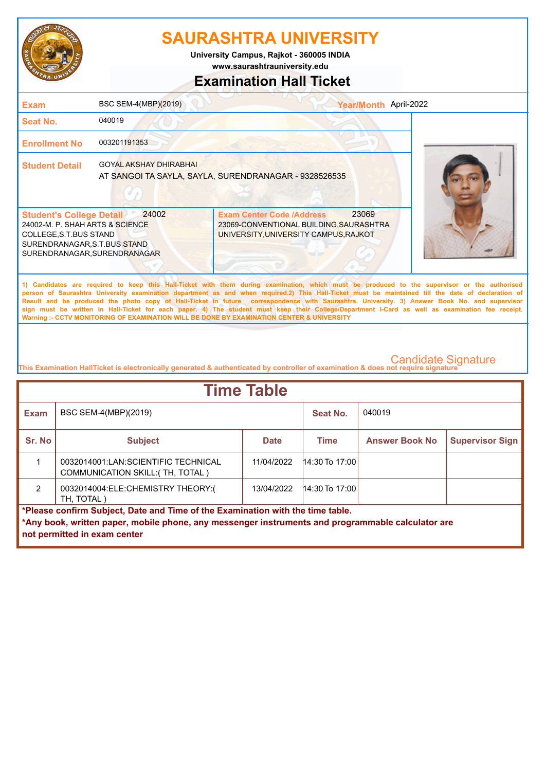

**University Campus, Rajkot - 360005 INDIA**

**www.saurashtrauniversity.edu**

### **Examination Hall Ticket**

| <b>Exam</b>                                                                                                                                                  | BSC SEM-4(MBP)(2019)          | Year/Month April-2022                                                                                                                                                                                                                                                                                                                                                                                                                                                                                                                                                                                                                                                                               |  |
|--------------------------------------------------------------------------------------------------------------------------------------------------------------|-------------------------------|-----------------------------------------------------------------------------------------------------------------------------------------------------------------------------------------------------------------------------------------------------------------------------------------------------------------------------------------------------------------------------------------------------------------------------------------------------------------------------------------------------------------------------------------------------------------------------------------------------------------------------------------------------------------------------------------------------|--|
| Seat No.                                                                                                                                                     | 040019                        |                                                                                                                                                                                                                                                                                                                                                                                                                                                                                                                                                                                                                                                                                                     |  |
| <b>Enrollment No</b>                                                                                                                                         | 003201191353                  |                                                                                                                                                                                                                                                                                                                                                                                                                                                                                                                                                                                                                                                                                                     |  |
| <b>Student Detail</b>                                                                                                                                        | <b>GOYAL AKSHAY DHIRABHAI</b> | AT SANGOI TA SAYLA, SAYLA, SURENDRANAGAR - 9328526535                                                                                                                                                                                                                                                                                                                                                                                                                                                                                                                                                                                                                                               |  |
| <b>Student's College Detail</b><br>24002-M. P. SHAH ARTS & SCIENCE<br>COLLEGE, S.T.BUS STAND<br>SURENDRANAGAR, S.T.BUS STAND<br>SURENDRANAGAR, SURENDRANAGAR | 24002                         | 23069<br><b>Exam Center Code /Address</b><br>23069-CONVENTIONAL BUILDING, SAURASHTRA<br>UNIVERSITY, UNIVERSITY CAMPUS, RAJKOT                                                                                                                                                                                                                                                                                                                                                                                                                                                                                                                                                                       |  |
|                                                                                                                                                              |                               | 1) Candidates are required to keep this Hall-Ticket with them during examination, which must be produced to the supervisor or the authorised<br>person of Saurashtra University examination department as and when required.2) This Hall-Ticket must be maintained till the date of declaration of<br>Result and be produced the photo copy of Hall-Ticket in future correspondence with Saurashtra. University. 3) Answer Book No. and supervisor<br>sign must be written in Hall-Ticket for each paper. 4) The student must keep their College/Department I-Card as well as examination fee receipt.<br>Warning :- CCTV MONITORING OF EXAMINATION WILL BE DONE BY EXAMINATION CENTER & UNIVERSITY |  |

| <b>Time Table</b>                                                                                 |                                                                         |             |                       |                        |  |  |
|---------------------------------------------------------------------------------------------------|-------------------------------------------------------------------------|-------------|-----------------------|------------------------|--|--|
| <b>Exam</b>                                                                                       | BSC SEM-4(MBP)(2019)                                                    |             | Seat No.              | 040019                 |  |  |
| Sr. No                                                                                            | <b>Subject</b>                                                          | <b>Time</b> | <b>Answer Book No</b> | <b>Supervisor Sign</b> |  |  |
|                                                                                                   | 0032014001:LAN:SCIENTIFIC TECHNICAL<br>COMMUNICATION SKILL: (TH, TOTAL) | 11/04/2022  | $14:30$ To 17:00      |                        |  |  |
| $\mathcal{P}$                                                                                     | 0032014004:ELE:CHEMISTRY THEORY:(<br>TH, TOTAL)                         | 13/04/2022  | $14:30$ To 17:00      |                        |  |  |
| *Please confirm Subject, Date and Time of the Examination with the time table.                    |                                                                         |             |                       |                        |  |  |
| *Any book, written paper, mobile phone, any messenger instruments and programmable calculator are |                                                                         |             |                       |                        |  |  |
|                                                                                                   | not permitted in exam center                                            |             |                       |                        |  |  |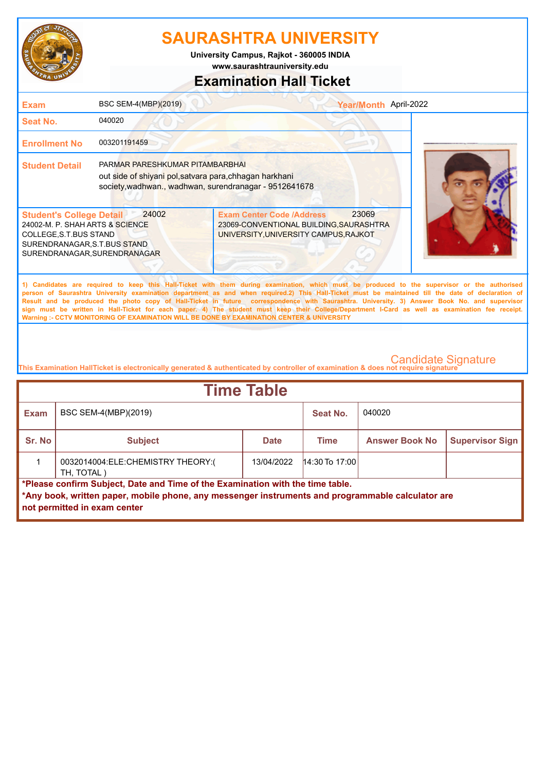

**www.saurashtrauniversity.edu University Campus, Rajkot - 360005 INDIA**

### **Examination Hall Ticket**

| <b>Exam</b>                                                                                                                                                            | BSC SEM-4(MBP)(2019)                                                                                                                                 |                                                                                                                                                                                                                                                                                                    | Year/Month April-2022 |  |
|------------------------------------------------------------------------------------------------------------------------------------------------------------------------|------------------------------------------------------------------------------------------------------------------------------------------------------|----------------------------------------------------------------------------------------------------------------------------------------------------------------------------------------------------------------------------------------------------------------------------------------------------|-----------------------|--|
| Seat No.                                                                                                                                                               | 040020                                                                                                                                               |                                                                                                                                                                                                                                                                                                    |                       |  |
| <b>Enrollment No</b>                                                                                                                                                   | 003201191459                                                                                                                                         |                                                                                                                                                                                                                                                                                                    |                       |  |
| <b>Student Detail</b>                                                                                                                                                  | PARMAR PARESHKUMAR PITAMBARBHAI<br>out side of shiyani pol, satvara para, chhagan harkhani<br>society, wadhwan., wadhwan, surendranagar - 9512641678 |                                                                                                                                                                                                                                                                                                    |                       |  |
| 24002<br><b>Student's College Detail</b><br>24002-M. P. SHAH ARTS & SCIENCE<br>COLLEGE, S.T. BUS STAND<br>SURENDRANAGAR, S.T.BUS STAND<br>SURENDRANAGAR, SURENDRANAGAR |                                                                                                                                                      | <b>Exam Center Code /Address</b><br>23069-CONVENTIONAL BUILDING, SAURASHTRA<br>UNIVERSITY, UNIVERSITY CAMPUS, RAJKOT                                                                                                                                                                               | 23069                 |  |
|                                                                                                                                                                        |                                                                                                                                                      | 1) Candidates are required to keep this Hall-Ticket with them during examination, which must be produced to the supervisor or the authorised<br>person of Saurashtra University examination department as and when required.2) This Hall-Ticket must be maintained till the date of declaration of |                       |  |

**Result and be produced the photo copy of Hall-Ticket in future correspondence with Saurashtra. University. 3) Answer Book No. and supervisor sign must be written in Hall-Ticket for each paper. 4) The student must keep their College/Department I-Card as well as examination fee receipt. Warning :- CCTV MONITORING OF EXAMINATION WILL BE DONE BY EXAMINATION CENTER & UNIVERSITY**

| <b>Time Table</b>                                                                                                                                                                                                   |                                                 |             |                  |                       |                        |  |
|---------------------------------------------------------------------------------------------------------------------------------------------------------------------------------------------------------------------|-------------------------------------------------|-------------|------------------|-----------------------|------------------------|--|
| <b>Exam</b>                                                                                                                                                                                                         | BSC SEM-4(MBP)(2019)                            |             | Seat No.         | 040020                |                        |  |
| Sr. No                                                                                                                                                                                                              | <b>Subject</b>                                  | <b>Date</b> | <b>Time</b>      | <b>Answer Book No</b> | <b>Supervisor Sign</b> |  |
|                                                                                                                                                                                                                     | 0032014004:ELE:CHEMISTRY THEORY:(<br>TH, TOTAL) | 13/04/2022  | $14:30$ To 17:00 |                       |                        |  |
| *Please confirm Subject, Date and Time of the Examination with the time table.<br>*Any book, written paper, mobile phone, any messenger instruments and programmable calculator are<br>not permitted in exam center |                                                 |             |                  |                       |                        |  |